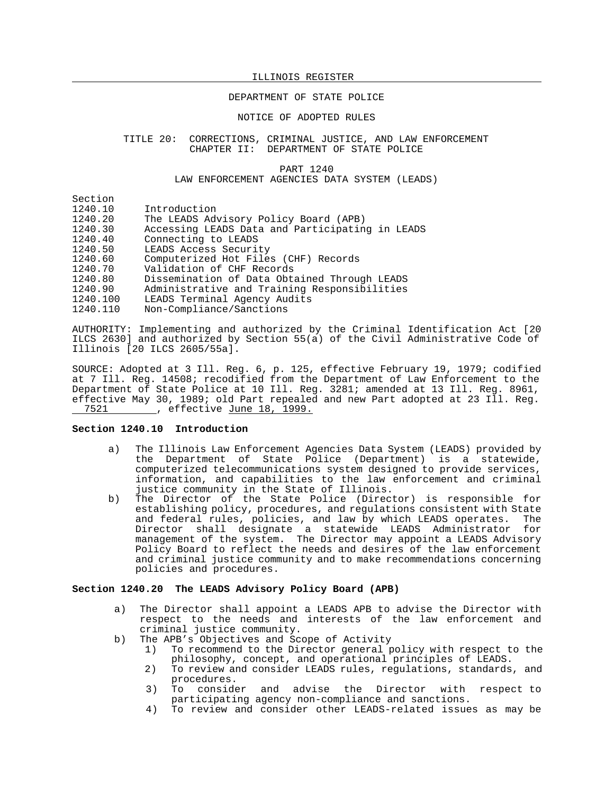## DEPARTMENT OF STATE POLICE

## NOTICE OF ADOPTED RULES

#### TITLE 20: CORRECTIONS, CRIMINAL JUSTICE, AND LAW ENFORCEMENT CHAPTER II: DEPARTMENT OF STATE POLICE

#### PART 1240 LAW ENFORCEMENT AGENCIES DATA SYSTEM (LEADS)

Section<br>1240.10 1240.10 Introduction<br>1240.20 The LEADS Adv The LEADS Advisory Policy Board (APB) 1240.30 Accessing LEADS Data and Participating in LEADS 1240.40 Connecting to LEADS<br>1240.50 LEADS Access Securit 1240.50 LEADS Access Security<br>1240.60 Computerized Hot File 1240.60 Computerized Hot Files (CHF) Records<br>1240.70 Validation of CHF Records Validation of CHF Records 1240.80 Dissemination of Data Obtained Through LEADS 1240.90 Administrative and Training Responsibilities LEADS Terminal Agency Audits

1240.110 Non-Compliance/Sanctions

AUTHORITY: Implementing and authorized by the Criminal Identification Act [20 ILCS 2630] and authorized by Section 55(a) of the Civil Administrative Code of Illinois [20 ILCS 2605/55a].

SOURCE: Adopted at 3 Ill. Reg. 6, p. 125, effective February 19, 1979; codified at 7 Ill. Reg. 14508; recodified from the Department of Law Enforcement to the Department of State Police at 10 Ill. Reg. 3281; amended at 13 Ill. Reg. 8961, effective May 30, 1989; old Part repealed and new Part adopted at 23 Ill. Reg. 7521 . effective June 18, 1999.

# **Section 1240.10 Introduction**

- a) The Illinois Law Enforcement Agencies Data System (LEADS) provided by the Department of State Police (Department) is a statewide, computerized telecommunications system designed to provide services, information, and capabilities to the law enforcement and criminal justice community in the State of Illinois.
- b) The Director of the State Police (Director) is responsible for establishing policy, procedures, and regulations consistent with State and federal rules, policies, and law by which LEADS operates. The Director shall designate a statewide LEADS Administrator for management of the system. The Director may appoint a LEADS Advisory Policy Board to reflect the needs and desires of the law enforcement and criminal justice community and to make recommendations concerning policies and procedures.

## **Section 1240.20 The LEADS Advisory Policy Board (APB)**

- a) The Director shall appoint a LEADS APB to advise the Director with respect to the needs and interests of the law enforcement and criminal justice community.
- b) The APB's Objectives and Scope of Activity
	- 1) To recommend to the Director general policy with respect to the philosophy, concept, and operational principles of LEADS.
	- 2) To review and consider LEADS rules, regulations, standards, and procedures.<br>To consider
	- 3) To consider and advise the Director with respect to participating agency non-compliance and sanctions.
	- 4) To review and consider other LEADS-related issues as may be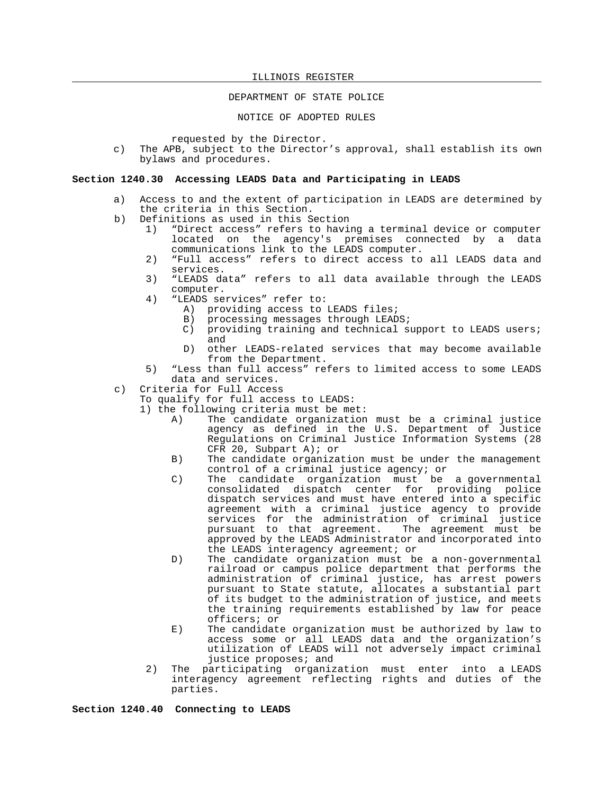# DEPARTMENT OF STATE POLICE

NOTICE OF ADOPTED RULES

requested by the Director.

c) The APB, subject to the Director's approval, shall establish its own bylaws and procedures.

## **Section 1240.30 Accessing LEADS Data and Participating in LEADS**

- a) Access to and the extent of participation in LEADS are determined by the criteria in this Section.
- b) Definitions as used in this Section
	- 1) "Direct access" refers to having a terminal device or computer located on the agency's premises connected by a data communications link to the LEADS computer.
	- 2) "Full access" refers to direct access to all LEADS data and services.
	- 3) "LEADS data" refers to all data available through the LEADS computer.
	- 4) "LEADS services" refer to:
		- A) providing access to LEADS files;
		- B) processing messages through LEADS;
		- C) providing training and technical support to LEADS users; and
		- D) other LEADS-related services that may become available from the Department.
	- 5) "Less than full access" refers to limited access to some LEADS data and services.
- c) Criteria for Full Access
	- To qualify for full access to LEADS:
	- 1) the following criteria must be met:
		- A) The candidate organization must be a criminal justice agency as defined in the U.S. Department of Justice Regulations on Criminal Justice Information Systems (28 CFR 20, Subpart A); or
		- B) The candidate organization must be under the management control of a criminal justice agency; or
		- C) The candidate organization must be a governmental consolidated dispatch center for providing police dispatch services and must have entered into a specific agreement with a criminal justice agency to provide services for the administration of criminal justice pursuant to that agreement. The agreement must be approved by the LEADS Administrator and incorporated into the LEADS interagency agreement; or
		- D) The candidate organization must be a non-governmental railroad or campus police department that performs the administration of criminal justice, has arrest powers pursuant to State statute, allocates a substantial part of its budget to the administration of justice, and meets the training requirements established by law for peace officers; or
		- E) The candidate organization must be authorized by law to access some or all LEADS data and the organization's utilization of LEADS will not adversely impact criminal justice proposes; and
		- 2) The participating organization must enter into a LEADS interagency agreement reflecting rights and duties of the parties.

**Section 1240.40 Connecting to LEADS**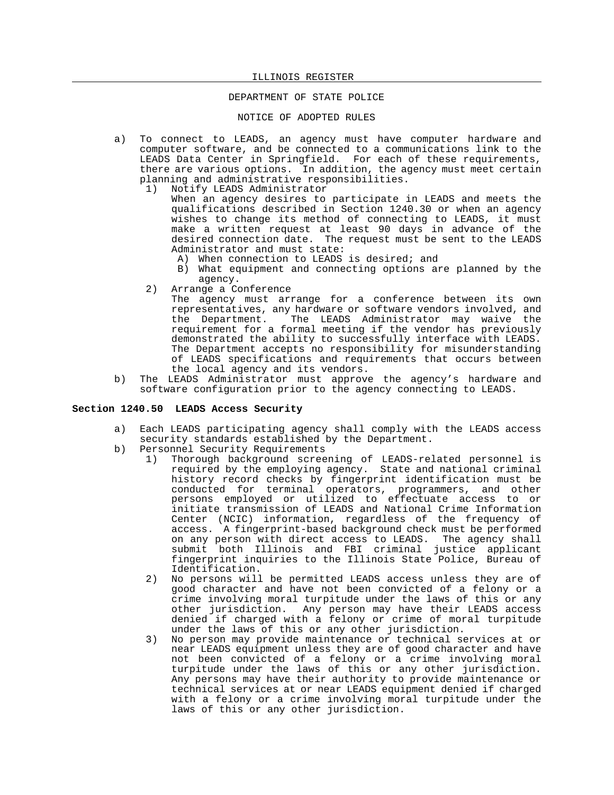## DEPARTMENT OF STATE POLICE

## NOTICE OF ADOPTED RULES

- a) To connect to LEADS, an agency must have computer hardware and computer software, and be connected to a communications link to the LEADS Data Center in Springfield. For each of these requirements, there are various options. In addition, the agency must meet certain planning and administrative responsibilities.
	- 1) Notify LEADS Administrator

When an agency desires to participate in LEADS and meets the qualifications described in Section 1240.30 or when an agency wishes to change its method of connecting to LEADS, it must make a written request at least 90 days in advance of the desired connection date. The request must be sent to the LEADS Administrator and must state:

- A) When connection to LEADS is desired; and
- B) What equipment and connecting options are planned by the agency.
- 2) Arrange a Conference

The agency must arrange for a conference between its own representatives, any hardware or software vendors involved, and<br>the Department. The LEADS Administrator may waive the The LEADS Administrator may waive the requirement for a formal meeting if the vendor has previously demonstrated the ability to successfully interface with LEADS. The Department accepts no responsibility for misunderstanding of LEADS specifications and requirements that occurs between the local agency and its vendors.

b) The LEADS Administrator must approve the agency's hardware and software configuration prior to the agency connecting to LEADS.

# **Section 1240.50 LEADS Access Security**

- a) Each LEADS participating agency shall comply with the LEADS access security standards established by the Department.
- b) Personnel Security Requirements
	- 1) Thorough background screening of LEADS-related personnel is required by the employing agency. State and national criminal history record checks by fingerprint identification must be conducted for terminal operators, programmers, and other persons employed or utilized to effectuate access to or initiate transmission of LEADS and National Crime Information Center (NCIC) information, regardless of the frequency of access. A fingerprint-based background check must be performed on any person with direct access to LEADS. The agency shall submit both Illinois and FBI criminal justice applicant fingerprint inquiries to the Illinois State Police, Bureau of Identification.
	- 2) No persons will be permitted LEADS access unless they are of good character and have not been convicted of a felony or a crime involving moral turpitude under the laws of this or any other jurisdiction. Any person may have their LEADS access denied if charged with a felony or crime of moral turpitude under the laws of this or any other jurisdiction.
	- 3) No person may provide maintenance or technical services at or near LEADS equipment unless they are of good character and have not been convicted of a felony or a crime involving moral turpitude under the laws of this or any other jurisdiction. Any persons may have their authority to provide maintenance or technical services at or near LEADS equipment denied if charged with a felony or a crime involving moral turpitude under the laws of this or any other jurisdiction.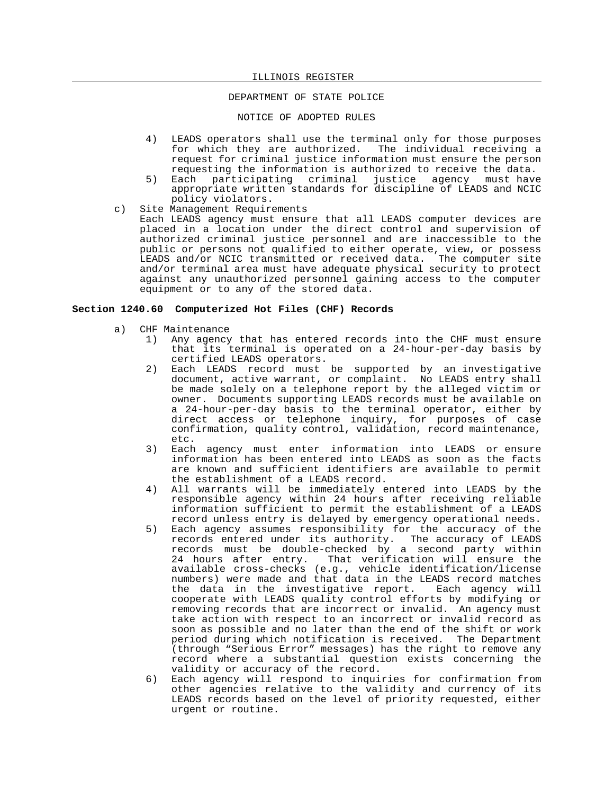# DEPARTMENT OF STATE POLICE

## NOTICE OF ADOPTED RULES

- 4) LEADS operators shall use the terminal only for those purposes for which they are authorized. The individual receiving a request for criminal justice information must ensure the person requesting the information is authorized to receive the data.
- 5) Each participating criminal justice agency must have appropriate written standards for discipline of LEADS and NCIC policy violators.
- c) Site Management Requirements

Each LEADS agency must ensure that all LEADS computer devices are placed in a location under the direct control and supervision of authorized criminal justice personnel and are inaccessible to the public or persons not qualified to either operate, view, or possess LEADS and/or NCIC transmitted or received data. The computer site and/or terminal area must have adequate physical security to protect against any unauthorized personnel gaining access to the computer equipment or to any of the stored data.

## **Section 1240.60 Computerized Hot Files (CHF) Records**

- a) CHF Maintenance
	- 1) Any agency that has entered records into the CHF must ensure that its terminal is operated on a 24-hour-per-day basis by certified LEADS operators.
	- 2) Each LEADS record must be supported by an investigative document, active warrant, or complaint. No LEADS entry shall be made solely on a telephone report by the alleged victim or owner. Documents supporting LEADS records must be available on a 24-hour-per-day basis to the terminal operator, either by direct access or telephone inquiry, for purposes of case confirmation, quality control, validation, record maintenance, etc.
	- 3) Each agency must enter information into LEADS or ensure information has been entered into LEADS as soon as the facts are known and sufficient identifiers are available to permit the establishment of a LEADS record.
	- 4) All warrants will be immediately entered into LEADS by the responsible agency within 24 hours after receiving reliable information sufficient to permit the establishment of a LEADS record unless entry is delayed by emergency operational needs.
	- 5) Each agency assumes responsibility for the accuracy of the records entered under its authority. The accuracy of LEADS records must be double-checked by a second party within 24 hours after entry. That verification will ensure the available cross-checks (e.g., vehicle identification/license numbers) were made and that data in the LEADS record matches<br>the data in the investigative report. Each agency will the data in the investigative report. cooperate with LEADS quality control efforts by modifying or removing records that are incorrect or invalid. An agency must take action with respect to an incorrect or invalid record as soon as possible and no later than the end of the shift or work period during which notification is received. The Department (through "Serious Error" messages) has the right to remove any record where a substantial question exists concerning the validity or accuracy of the record.
	- 6) Each agency will respond to inquiries for confirmation from other agencies relative to the validity and currency of its LEADS records based on the level of priority requested, either urgent or routine.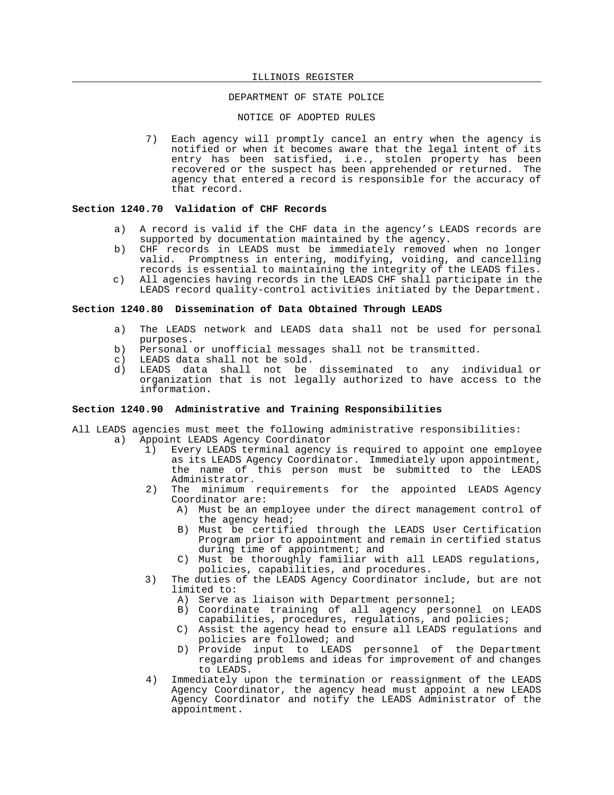# DEPARTMENT OF STATE POLICE

NOTICE OF ADOPTED RULES

7) Each agency will promptly cancel an entry when the agency is notified or when it becomes aware that the legal intent of its entry has been satisfied, i.e., stolen property has been recovered or the suspect has been apprehended or returned. The agency that entered a record is responsible for the accuracy of that record.

### **Section 1240.70 Validation of CHF Records**

- a) A record is valid if the CHF data in the agency's LEADS records are supported by documentation maintained by the agency.
- b) CHF records in LEADS must be immediately removed when no longer valid. Promptness in entering, modifying, voiding, and cancelling records is essential to maintaining the integrity of the LEADS files.
- c) All agencies having records in the LEADS CHF shall participate in the LEADS record quality-control activities initiated by the Department.

## **Section 1240.80 Dissemination of Data Obtained Through LEADS**

- a) The LEADS network and LEADS data shall not be used for personal purposes.
- b) Personal or unofficial messages shall not be transmitted.
- c) LEADS data shall not be sold.
- d) LEADS data shall not be disseminated to any individual or organization that is not legally authorized to have access to the information.

## **Section 1240.90 Administrative and Training Responsibilities**

- All LEADS agencies must meet the following administrative responsibilities:<br>a) Appoint LEADS Agency Coordinator
	- Appoint LEADS Agency Coordinator
		- 1) Every LEADS terminal agency is required to appoint one employee as its LEADS Agency Coordinator. Immediately upon appointment, the name of this person must be submitted to the LEADS Administrator.
		- 2) The minimum requirements for the appointed LEADS Agency Coordinator are:
			- A) Must be an employee under the direct management control of the agency head;
			- B) Must be certified through the LEADS User Certification Program prior to appointment and remain in certified status during time of appointment; and
			- C) Must be thoroughly familiar with all LEADS regulations, policies, capabilities, and procedures.
		- 3) The duties of the LEADS Agency Coordinator include, but are not limited to:
			- A) Serve as liaison with Department personnel;
			- B) Coordinate training of all agency personnel on LEADS capabilities, procedures, regulations, and policies;
			- C) Assist the agency head to ensure all LEADS regulations and policies are followed; and
			- D) Provide input to LEADS personnel of the Department regarding problems and ideas for improvement of and changes to LEADS.
		- 4) Immediately upon the termination or reassignment of the LEADS Agency Coordinator, the agency head must appoint a new LEADS Agency Coordinator and notify the LEADS Administrator of the appointment.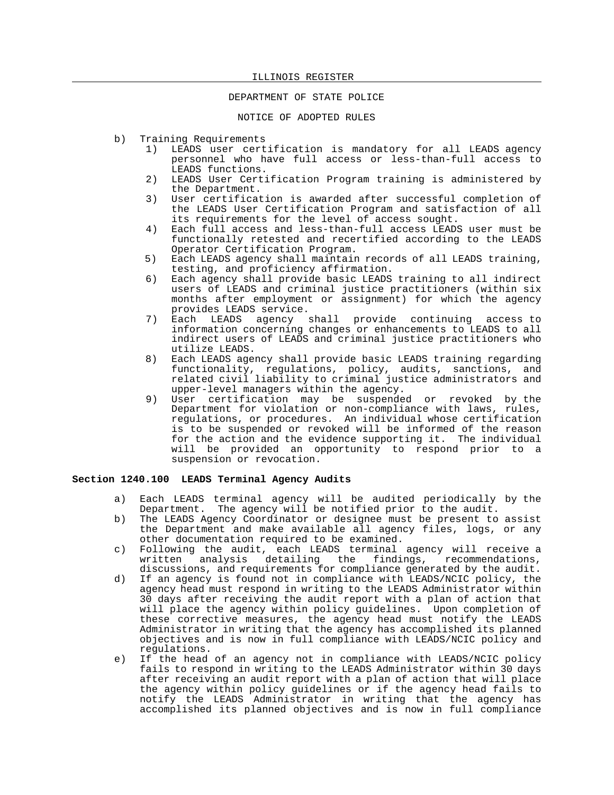## DEPARTMENT OF STATE POLICE

NOTICE OF ADOPTED RULES

- b) Training Requirements
	- 1) LEADS user certification is mandatory for all LEADS agency personnel who have full access or less-than-full access to LEADS functions.
	- 2) LEADS User Certification Program training is administered by the Department.
	- 3) User certification is awarded after successful completion of the LEADS User Certification Program and satisfaction of all its requirements for the level of access sought.
	- 4) Each full access and less-than-full access LEADS user must be functionally retested and recertified according to the LEADS Operator Certification Program.
	- 5) Each LEADS agency shall maintain records of all LEADS training, testing, and proficiency affirmation.
	- 6) Each agency shall provide basic LEADS training to all indirect users of LEADS and criminal justice practitioners (within six months after employment or assignment) for which the agency provides LEADS service.
	- 7) Each LEADS agency shall provide continuing access to information concerning changes or enhancements to LEADS to all indirect users of LEADS and criminal justice practitioners who utilize LEADS.
	- 8) Each LEADS agency shall provide basic LEADS training regarding functionality, regulations, policy, audits, sanctions, and related civil liability to criminal justice administrators and upper-level managers within the agency.
	- 9) User certification may be suspended or revoked by the Department for violation or non-compliance with laws, rules, regulations, or procedures. An individual whose certification is to be suspended or revoked will be informed of the reason for the action and the evidence supporting it. The individual will be provided an opportunity to respond prior to a suspension or revocation.

## **Section 1240.100 LEADS Terminal Agency Audits**

- a) Each LEADS terminal agency will be audited periodically by the Department. The agency will be notified prior to the audit.
- b) The LEADS Agency Coordinator or designee must be present to assist the Department and make available all agency files, logs, or any other documentation required to be examined.
- c) Following the audit, each LEADS terminal agency will receive a written analysis detailing the findings, recommendations, discussions, and requirements for compliance generated by the audit.
- d) If an agency is found not in compliance with LEADS/NCIC policy, the agency head must respond in writing to the LEADS Administrator within 30 days after receiving the audit report with a plan of action that will place the agency within policy guidelines. Upon completion of these corrective measures, the agency head must notify the LEADS Administrator in writing that the agency has accomplished its planned objectives and is now in full compliance with LEADS/NCIC policy and regulations.
- e) If the head of an agency not in compliance with LEADS/NCIC policy fails to respond in writing to the LEADS Administrator within 30 days after receiving an audit report with a plan of action that will place the agency within policy guidelines or if the agency head fails to notify the LEADS Administrator in writing that the agency has accomplished its planned objectives and is now in full compliance